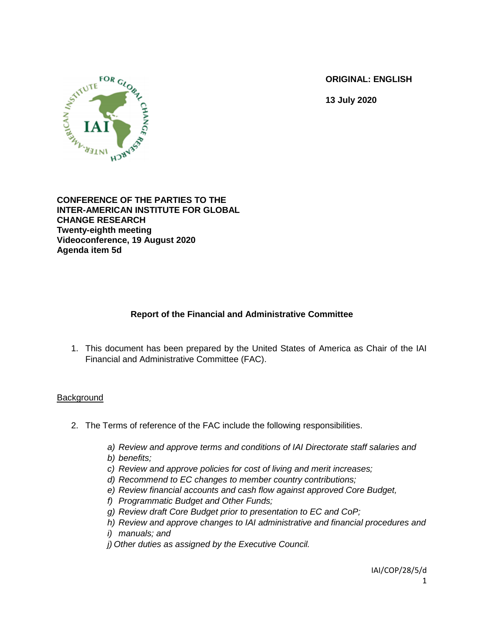**ORIGINAL: ENGLISH**

**13 July 2020**



**CONFERENCE OF THE PARTIES TO THE INTER-AMERICAN INSTITUTE FOR GLOBAL CHANGE RESEARCH Twenty-eighth meeting Videoconference, 19 August 2020 Agenda item 5d**

# **Report of the Financial and Administrative Committee**

1. This document has been prepared by the United States of America as Chair of the IAI Financial and Administrative Committee (FAC).

### **Background**

- 2. The Terms of reference of the FAC include the following responsibilities.
	- *a) Review and approve terms and conditions of IAI Directorate staff salaries and*
	- *b) benefits;*
	- *c) Review and approve policies for cost of living and merit increases;*
	- *d) Recommend to EC changes to member country contributions;*
	- *e) Review financial accounts and cash flow against approved Core Budget,*
	- *f) Programmatic Budget and Other Funds;*
	- *g) Review draft Core Budget prior to presentation to EC and CoP;*
	- *h) Review and approve changes to IAI administrative and financial procedures and*
	- *i) manuals; and*
	- *j) Other duties as assigned by the Executive Council.*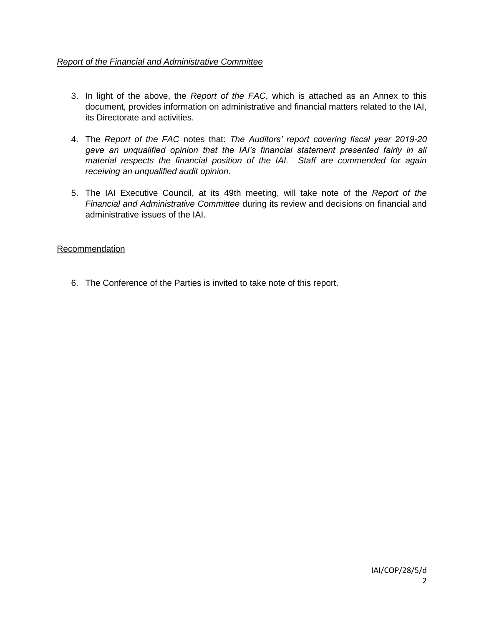## *Report of the Financial and Administrative Committee*

- 3. In light of the above, the *Report of the FAC*, which is attached as an Annex to this document, provides information on administrative and financial matters related to the IAI, its Directorate and activities.
- 4. The *Report of the FAC* notes that: *The Auditors' report covering fiscal year 2019-20 gave an unqualified opinion that the IAI's financial statement presented fairly in all material respects the financial position of the IAI. Staff are commended for again receiving an unqualified audit opinion*.
- 5. The IAI Executive Council, at its 49th meeting, will take note of the *Report of the Financial and Administrative Committee* during its review and decisions on financial and administrative issues of the IAI.

### Recommendation

6. The Conference of the Parties is invited to take note of this report.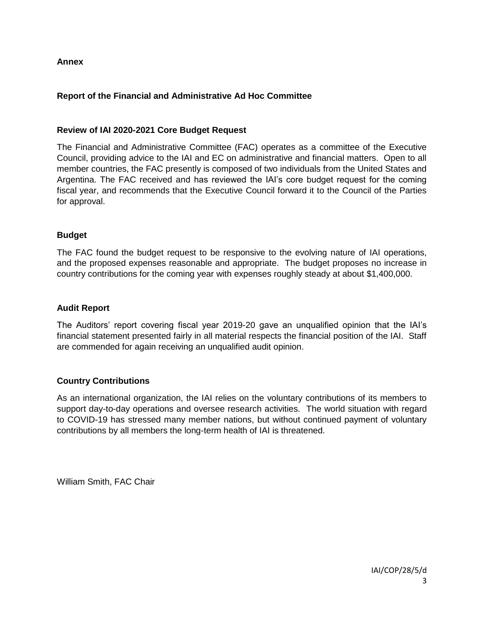### **Annex**

## **Report of the Financial and Administrative Ad Hoc Committee**

### **Review of IAI 2020-2021 Core Budget Request**

The Financial and Administrative Committee (FAC) operates as a committee of the Executive Council, providing advice to the IAI and EC on administrative and financial matters. Open to all member countries, the FAC presently is composed of two individuals from the United States and Argentina. The FAC received and has reviewed the IAI's core budget request for the coming fiscal year, and recommends that the Executive Council forward it to the Council of the Parties for approval.

#### **Budget**

The FAC found the budget request to be responsive to the evolving nature of IAI operations, and the proposed expenses reasonable and appropriate. The budget proposes no increase in country contributions for the coming year with expenses roughly steady at about \$1,400,000.

#### **Audit Report**

The Auditors' report covering fiscal year 2019-20 gave an unqualified opinion that the IAI's financial statement presented fairly in all material respects the financial position of the IAI. Staff are commended for again receiving an unqualified audit opinion.

### **Country Contributions**

As an international organization, the IAI relies on the voluntary contributions of its members to support day-to-day operations and oversee research activities. The world situation with regard to COVID-19 has stressed many member nations, but without continued payment of voluntary contributions by all members the long-term health of IAI is threatened.

William Smith, FAC Chair